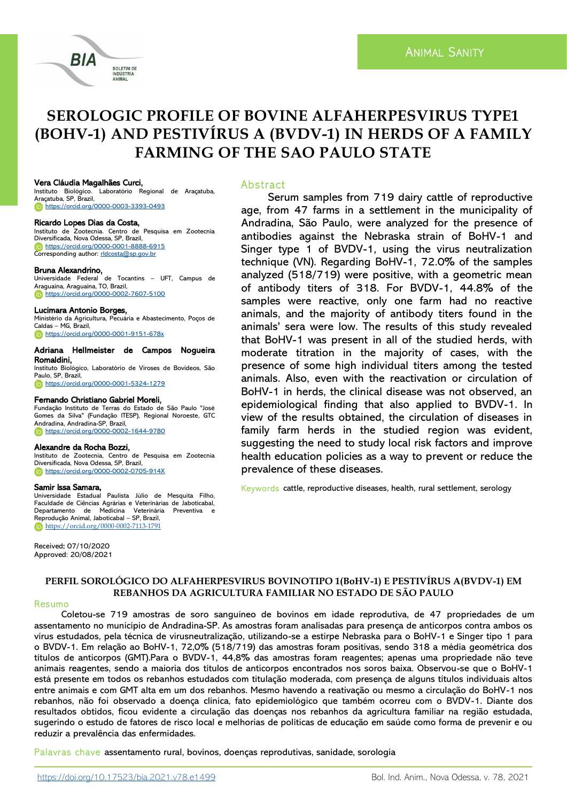# **SEROLOGIC PROFILE OF BOVINE ALFAHERPESVIRUS TYPE1 (BOHV-1) AND PESTIVÍRUS A (BVDV-1) IN HERDS OF A FAMILY FARMING OF THE SAO PAULO STATE**

## Vera Cláudia Magalhães Curci,

BIA

Instituto Biológico. Laboratório Regional de Araçatuba, Araçatuba, SP, Brazil, <https://orcid.org/0000-0003-3393-0493>

**BOLETIM DE INDÚSTRIA** ANIMAL

#### Ricardo Lopes Dias da Costa,

Instituto de Zootecnia. Centro de Pesquisa em Zootecnia Diversificada, Nova Odessa, SP, Brazil, <https://orcid.org/0000-0001-8888-6915> Corresponding author: rldcosta@sp.qov.br

## Bruna Alexandrino,

Universidade Federal de Tocantins – UFT, Campus de Araguaína, Araguaína, TO, Brazil, <https://orcid.org/0000-0002-7607-5100>

#### Lucimara Antonio Borges,

Ministério da Agricultura, Pecuária e Abastecimento, Poços de Caldas – MG, Brazil, **<https://orcid.org/0000-0001-9151-678x>** 

#### Adriana Hellmeister de Campos Nogueira Romaldini,

Instituto Biológico, Laboratório de Viroses de Bovídeos, São Paulo, SP, Brazil, <https://orcid.org/0000-0001-5324-1279>

#### Fernando Christiano Gabriel Moreli,

Fundação Instituto de Terras do Estado de São Paulo "José Gomes da Silva" (Fundação ITESP), Regional Noroeste, GTC Andradina, Andradina-SP, Brazil, **<https://orcid.org/0000-0002-1644-9780>** 

#### Alexandre da Rocha Bozzi,

Instituto de Zootecnia, Centro de Pesquisa em Zootecnia Diversificada, Nova Odessa, SP, Brazil, **<https://orcid.org/0000-0002-0705-914X>** 

#### Samir Issa Samara,

Universidade Estadual Paulista Júlio de Mesquita Filho, Faculdade de Ciências Agrárias e Veterinárias de Jaboticabal, Departamento de Medicina Veterinária Preventiva e Reprodução Animal, Jaboticabal – SP, Brazil, <https://orcid.org/0000-0002-7113-1791>

Received: 07/10/2020 Approved: 20/08/2021

#### Abstract

Serum samples from 719 dairy cattle of reproductive age, from 47 farms in a settlement in the municipality of Andradina, São Paulo, were analyzed for the presence of antibodies against the Nebraska strain of BoHV-1 and Singer type 1 of BVDV-1, using the virus neutralization technique (VN). Regarding BoHV-1, 72.0% of the samples analyzed (518/719) were positive, with a geometric mean of antibody titers of 318. For BVDV-1, 44.8% of the samples were reactive, only one farm had no reactive animals, and the majority of antibody titers found in the animals' sera were low. The results of this study revealed that BoHV-1 was present in all of the studied herds, with moderate titration in the majority of cases, with the presence of some high individual titers among the tested animals. Also, even with the reactivation or circulation of BoHV-1 in herds, the clinical disease was not observed, an epidemiological finding that also applied to BVDV-1. In view of the results obtained, the circulation of diseases in family farm herds in the studied region was evident, suggesting the need to study local risk factors and improve health education policies as a way to prevent or reduce the prevalence of these diseases.

Keywords cattle, reproductive diseases, health, rural settlement, serology

## **PERFIL SOROLÓGICO DO ALFAHERPESVIRUS BOVINOTIPO 1(BoHV-1) E PESTIVÍRUS A(BVDV-1) EM REBANHOS DA AGRICULTURA FAMILIAR NO ESTADO DE SÃO PAULO**

#### Resumo

Coletou-se 719 amostras de soro sanguíneo de bovinos em idade reprodutiva, de 47 propriedades de um assentamento no município de Andradina-SP. As amostras foram analisadas para presença de anticorpos contra ambos os vírus estudados, pela técnica de virusneutralização, utilizando-se a estirpe Nebraska para o BoHV-1 e Singer tipo 1 para o BVDV-1. Em relação ao BoHV-1, 72,0% (518/719) das amostras foram positivas, sendo 318 a média geométrica dos títulos de anticorpos (GMT).Para o BVDV-1, 44,8% das amostras foram reagentes; apenas uma propriedade não teve animais reagentes, sendo a maioria dos títulos de anticorpos encontrados nos soros baixa. Observou-se que o BoHV-1 está presente em todos os rebanhos estudados com titulação moderada, com presença de alguns títulos individuais altos entre animais e com GMT alta em um dos rebanhos. Mesmo havendo a reativação ou mesmo a circulação do BoHV-1 nos rebanhos, não foi observado a doença clínica, fato epidemiológico que também ocorreu com o BVDV-1. Diante dos resultados obtidos, ficou evidente a circulação das doenças nos rebanhos da agricultura familiar na região estudada, sugerindo o estudo de fatores de risco local e melhorias de políticas de educação em saúde como forma de prevenir e ou reduzir a prevalência das enfermidades.

Palavras chave assentamento rural, bovinos, doenças reprodutivas, sanidade, sorologia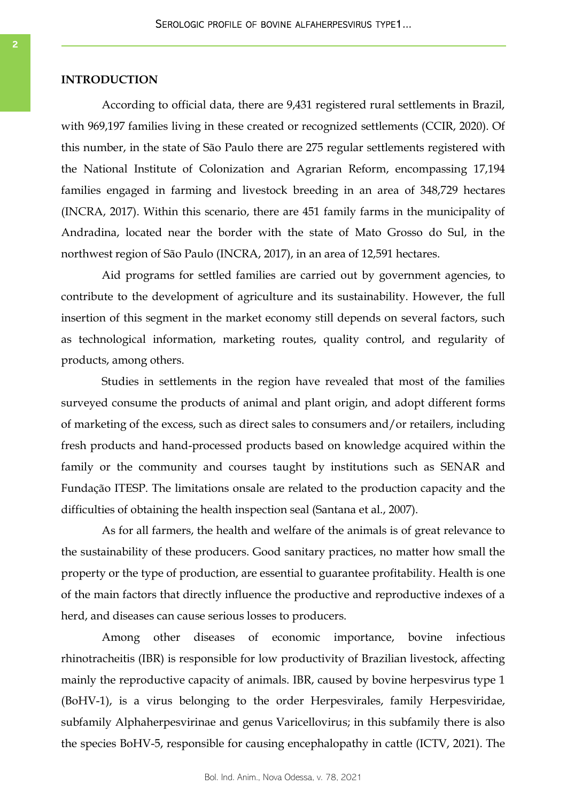#### **INTRODUCTION**

According to official data, there are 9,431 registered rural settlements in Brazil, with 969,197 families living in these created or recognized settlements (CCIR, 2020). Of this number, in the state of São Paulo there are 275 regular settlements registered with the National Institute of Colonization and Agrarian Reform, encompassing 17,194 families engaged in farming and livestock breeding in an area of 348,729 hectares (INCRA, 2017). Within this scenario, there are 451 family farms in the municipality of Andradina, located near the border with the state of Mato Grosso do Sul, in the northwest region of São Paulo (INCRA, 2017), in an area of 12,591 hectares.

Aid programs for settled families are carried out by government agencies, to contribute to the development of agriculture and its sustainability. However, the full insertion of this segment in the market economy still depends on several factors, such as technological information, marketing routes, quality control, and regularity of products, among others.

Studies in settlements in the region have revealed that most of the families surveyed consume the products of animal and plant origin, and adopt different forms of marketing of the excess, such as direct sales to consumers and/or retailers, including fresh products and hand-processed products based on knowledge acquired within the family or the community and courses taught by institutions such as SENAR and Fundação ITESP. The limitations onsale are related to the production capacity and the difficulties of obtaining the health inspection seal (Santana et al., 2007).

As for all farmers, the health and welfare of the animals is of great relevance to the sustainability of these producers. Good sanitary practices, no matter how small the property or the type of production, are essential to guarantee profitability. Health is one of the main factors that directly influence the productive and reproductive indexes of a herd, and diseases can cause serious losses to producers.

Among other diseases of economic importance, bovine infectious rhinotracheitis (IBR) is responsible for low productivity of Brazilian livestock, affecting mainly the reproductive capacity of animals. IBR, caused by bovine herpesvirus type 1 (BoHV-1), is a virus belonging to the order Herpesvirales, family Herpesviridae, subfamily Alphaherpesvirinae and genus Varicellovirus; in this subfamily there is also the species BoHV-5, responsible for causing encephalopathy in cattle (ICTV, 2021). The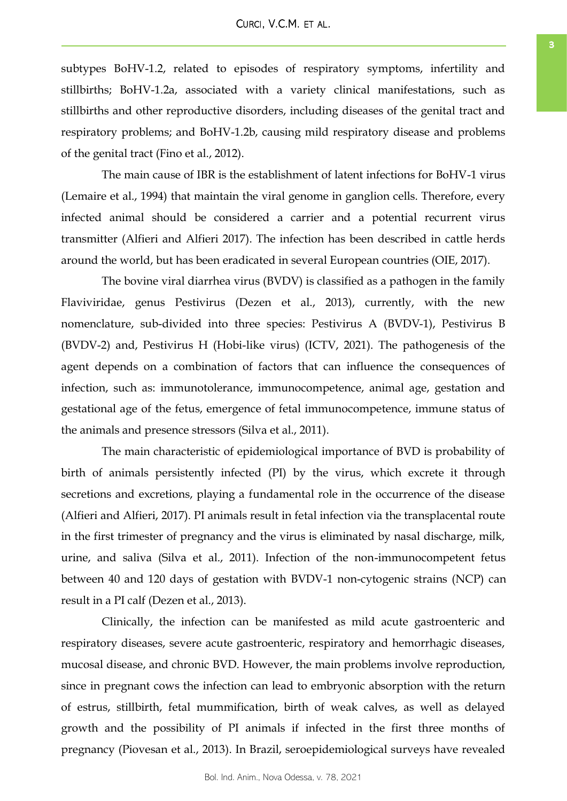subtypes BoHV-1.2, related to episodes of respiratory symptoms, infertility and stillbirths; BoHV-1.2a, associated with a variety clinical manifestations, such as stillbirths and other reproductive disorders, including diseases of the genital tract and respiratory problems; and BoHV-1.2b, causing mild respiratory disease and problems of the genital tract (Fino et al., 2012).

The main cause of IBR is the establishment of latent infections for BoHV-1 virus (Lemaire et al., 1994) that maintain the viral genome in ganglion cells. Therefore, every infected animal should be considered a carrier and a potential recurrent virus transmitter (Alfieri and Alfieri 2017). The infection has been described in cattle herds around the world, but has been eradicated in several European countries (OIE, 2017).

The bovine viral diarrhea virus (BVDV) is classified as a pathogen in the family Flaviviridae, genus Pestivirus (Dezen et al., 2013), currently, with the new nomenclature, sub-divided into three species: Pestivirus A (BVDV-1), Pestivirus B (BVDV-2) and, Pestivirus H (Hobi-like virus) (ICTV, 2021). The pathogenesis of the agent depends on a combination of factors that can influence the consequences of infection, such as: immunotolerance, immunocompetence, animal age, gestation and gestational age of the fetus, emergence of fetal immunocompetence, immune status of the animals and presence stressors (Silva et al., 2011).

The main characteristic of epidemiological importance of BVD is probability of birth of animals persistently infected (PI) by the virus, which excrete it through secretions and excretions, playing a fundamental role in the occurrence of the disease (Alfieri and Alfieri, 2017). PI animals result in fetal infection via the transplacental route in the first trimester of pregnancy and the virus is eliminated by nasal discharge, milk, urine, and saliva (Silva et al., 2011). Infection of the non-immunocompetent fetus between 40 and 120 days of gestation with BVDV-1 non-cytogenic strains (NCP) can result in a PI calf (Dezen et al., 2013).

Clinically, the infection can be manifested as mild acute gastroenteric and respiratory diseases, severe acute gastroenteric, respiratory and hemorrhagic diseases, mucosal disease, and chronic BVD. However, the main problems involve reproduction, since in pregnant cows the infection can lead to embryonic absorption with the return of estrus, stillbirth, fetal mummification, birth of weak calves, as well as delayed growth and the possibility of PI animals if infected in the first three months of pregnancy (Piovesan et al., 2013). In Brazil, seroepidemiological surveys have revealed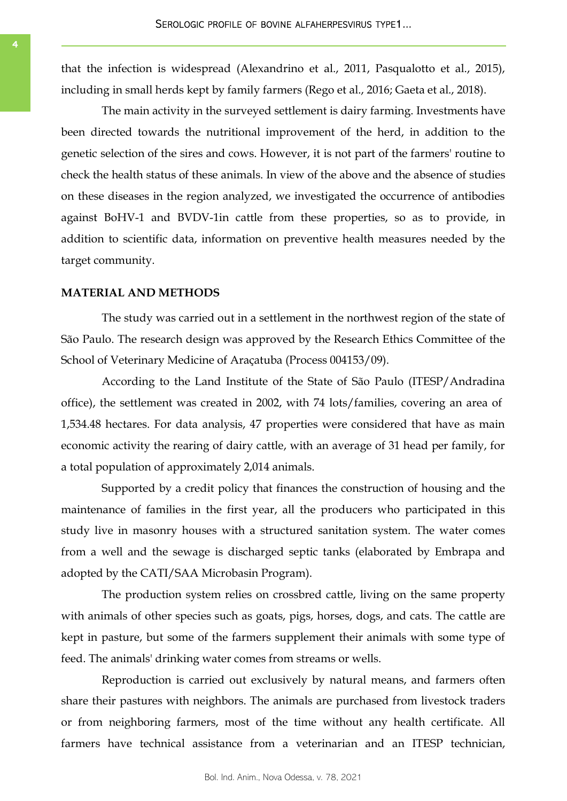that the infection is widespread (Alexandrino et al., 2011, Pasqualotto et al., 2015), including in small herds kept by family farmers (Rego et al., 2016; Gaeta et al., 2018).

The main activity in the surveyed settlement is dairy farming. Investments have been directed towards the nutritional improvement of the herd, in addition to the genetic selection of the sires and cows. However, it is not part of the farmers' routine to check the health status of these animals. In view of the above and the absence of studies on these diseases in the region analyzed, we investigated the occurrence of antibodies against BoHV-1 and BVDV-1in cattle from these properties, so as to provide, in addition to scientific data, information on preventive health measures needed by the target community.

### **MATERIAL AND METHODS**

The study was carried out in a settlement in the northwest region of the state of São Paulo. The research design was approved by the Research Ethics Committee of the School of Veterinary Medicine of Araçatuba (Process 004153/09).

According to the Land Institute of the State of São Paulo (ITESP/Andradina office), the settlement was created in 2002, with 74 lots/families, covering an area of 1,534.48 hectares. For data analysis, 47 properties were considered that have as main economic activity the rearing of dairy cattle, with an average of 31 head per family, for a total population of approximately 2,014 animals.

Supported by a credit policy that finances the construction of housing and the maintenance of families in the first year, all the producers who participated in this study live in masonry houses with a structured sanitation system. The water comes from a well and the sewage is discharged septic tanks (elaborated by Embrapa and adopted by the CATI/SAA Microbasin Program).

The production system relies on crossbred cattle, living on the same property with animals of other species such as goats, pigs, horses, dogs, and cats. The cattle are kept in pasture, but some of the farmers supplement their animals with some type of feed. The animals' drinking water comes from streams or wells.

Reproduction is carried out exclusively by natural means, and farmers often share their pastures with neighbors. The animals are purchased from livestock traders or from neighboring farmers, most of the time without any health certificate. All farmers have technical assistance from a veterinarian and an ITESP technician,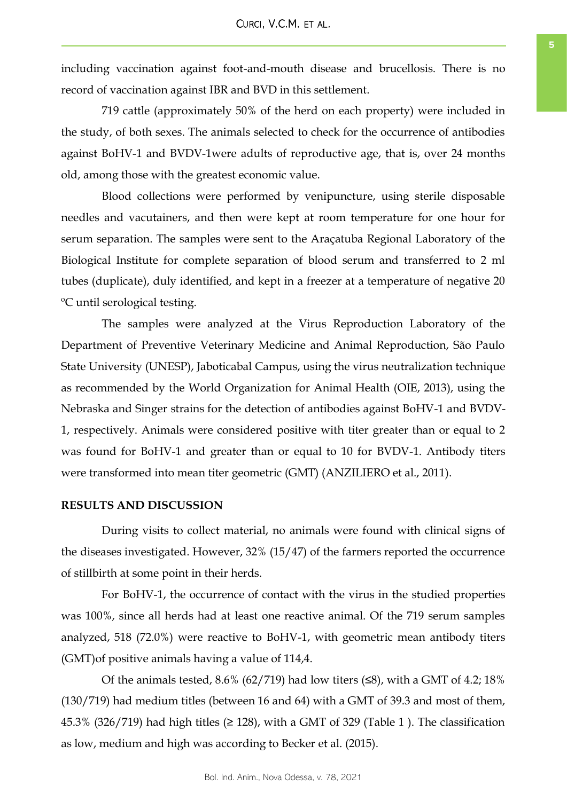including vaccination against foot-and-mouth disease and brucellosis. There is no record of vaccination against IBR and BVD in this settlement.

719 cattle (approximately 50% of the herd on each property) were included in the study, of both sexes. The animals selected to check for the occurrence of antibodies against BoHV-1 and BVDV-1were adults of reproductive age, that is, over 24 months old, among those with the greatest economic value.

Blood collections were performed by venipuncture, using sterile disposable needles and vacutainers, and then were kept at room temperature for one hour for serum separation. The samples were sent to the Araçatuba Regional Laboratory of the Biological Institute for complete separation of blood serum and transferred to 2 ml tubes (duplicate), duly identified, and kept in a freezer at a temperature of negative 20 ºC until serological testing.

The samples were analyzed at the Virus Reproduction Laboratory of the Department of Preventive Veterinary Medicine and Animal Reproduction, São Paulo State University (UNESP), Jaboticabal Campus, using the virus neutralization technique as recommended by the World Organization for Animal Health (OIE, 2013), using the Nebraska and Singer strains for the detection of antibodies against BoHV-1 and BVDV-1, respectively. Animals were considered positive with titer greater than or equal to 2 was found for BoHV-1 and greater than or equal to 10 for BVDV-1. Antibody titers were transformed into mean titer geometric (GMT) (ANZILIERO et al., 2011).

## **RESULTS AND DISCUSSION**

During visits to collect material, no animals were found with clinical signs of the diseases investigated. However, 32% (15/47) of the farmers reported the occurrence of stillbirth at some point in their herds.

For BoHV-1, the occurrence of contact with the virus in the studied properties was 100%, since all herds had at least one reactive animal. Of the 719 serum samples analyzed, 518 (72.0%) were reactive to BoHV-1, with geometric mean antibody titers (GMT)of positive animals having a value of 114,4.

Of the animals tested,  $8.6\%$  (62/719) had low titers ( $\leq 8$ ), with a GMT of 4.2; 18% (130/719) had medium titles (between 16 and 64) with a GMT of 39.3 and most of them, 45.3% (326/719) had high titles ( $\geq$  128), with a GMT of 329 (Table 1). The classification as low, medium and high was according to Becker et al. (2015).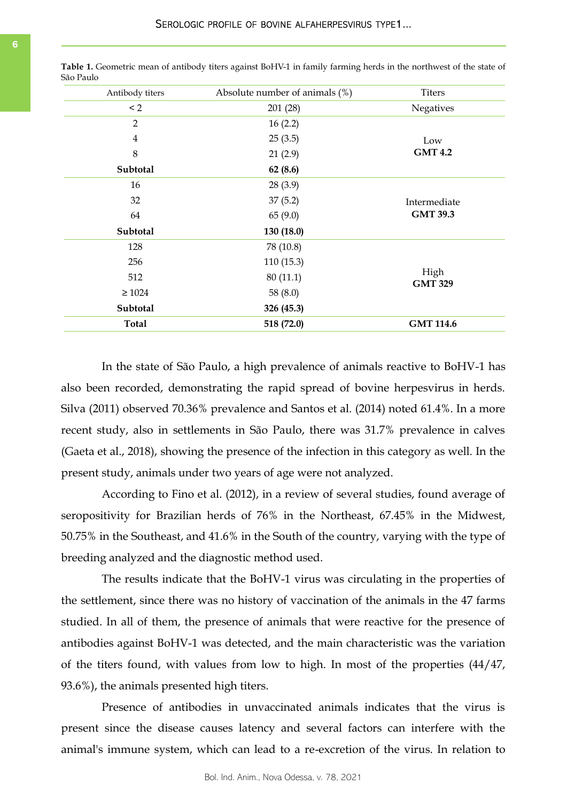| Antibody titers | Absolute number of animals (%) | <b>Titers</b>                   |
|-----------------|--------------------------------|---------------------------------|
| $\leq$ 2        | 201 (28)                       | Negatives                       |
| $\overline{2}$  | 16(2.2)                        | Low<br><b>GMT 4.2</b>           |
| $\overline{4}$  | 25(3.5)                        |                                 |
| 8               | 21(2.9)                        |                                 |
| Subtotal        | 62(8.6)                        |                                 |
| 16              | 28(3.9)                        | Intermediate<br><b>GMT 39.3</b> |
| 32              | 37(5.2)                        |                                 |
| 64              | 65(9.0)                        |                                 |
| Subtotal        | 130 (18.0)                     |                                 |
| 128             | 78 (10.8)                      | High<br><b>GMT 329</b>          |
| 256             | 110(15.3)                      |                                 |
| 512             | 80(11.1)                       |                                 |
| $\geq 1024$     | 58 $(8.0)$                     |                                 |
| Subtotal        | 326 (45.3)                     |                                 |
| <b>Total</b>    | 518 (72.0)                     | <b>GMT 114.6</b>                |

**Table 1.** Geometric mean of antibody titers against BoHV-1 in family farming herds in the northwest of the state of São Paulo

In the state of São Paulo, a high prevalence of animals reactive to BoHV-1 has also been recorded, demonstrating the rapid spread of bovine herpesvirus in herds. Silva (2011) observed 70.36% prevalence and Santos et al. (2014) noted 61.4%. In a more recent study, also in settlements in São Paulo, there was 31.7% prevalence in calves (Gaeta et al., 2018), showing the presence of the infection in this category as well. In the present study, animals under two years of age were not analyzed.

According to Fino et al. (2012), in a review of several studies, found average of seropositivity for Brazilian herds of 76% in the Northeast, 67.45% in the Midwest, 50.75% in the Southeast, and 41.6% in the South of the country, varying with the type of breeding analyzed and the diagnostic method used.

The results indicate that the BoHV-1 virus was circulating in the properties of the settlement, since there was no history of vaccination of the animals in the 47 farms studied. In all of them, the presence of animals that were reactive for the presence of antibodies against BoHV-1 was detected, and the main characteristic was the variation of the titers found, with values from low to high. In most of the properties (44/47, 93.6%), the animals presented high titers.

Presence of antibodies in unvaccinated animals indicates that the virus is present since the disease causes latency and several factors can interfere with the animal's immune system, which can lead to a re-excretion of the virus. In relation to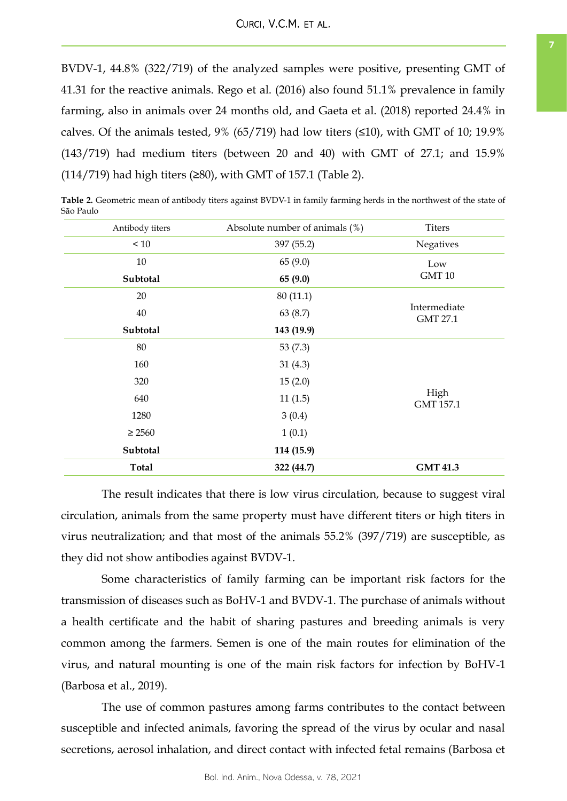BVDV-1, 44.8% (322/719) of the analyzed samples were positive, presenting GMT of 41.31 for the reactive animals. Rego et al. (2016) also found 51.1% prevalence in family farming, also in animals over 24 months old, and Gaeta et al. (2018) reported 24.4% in calves. Of the animals tested, 9% (65/719) had low titers  $(\leq 10)$ , with GMT of 10; 19.9% (143/719) had medium titers (between 20 and 40) with GMT of 27.1; and 15.9% (114/719) had high titers (≥80), with GMT of 157.1 (Table 2).

**Table 2.** Geometric mean of antibody titers against BVDV-1 in family farming herds in the northwest of the state of São Paulo

| Antibody titers | Absolute number of animals (%) | <b>Titers</b>                   |  |
|-----------------|--------------------------------|---------------------------------|--|
| < 10            | 397 (55.2)                     | Negatives                       |  |
| 10              | 65 (9.0)                       | Low<br>GMT <sub>10</sub>        |  |
| Subtotal        | 65 (9.0)                       |                                 |  |
| 20              | 80(11.1)                       | Intermediate<br><b>GMT 27.1</b> |  |
| 40              | 63 (8.7)                       |                                 |  |
| Subtotal        | 143 (19.9)                     |                                 |  |
| 80              | 53 $(7.3)$                     | High<br>GMT 157.1               |  |
| 160             | 31(4.3)                        |                                 |  |
| 320             | 15(2.0)                        |                                 |  |
| 640             | 11(1.5)                        |                                 |  |
| 1280            | 3(0.4)                         |                                 |  |
| $\geq 2560$     | 1(0.1)                         |                                 |  |
| Subtotal        | 114 (15.9)                     |                                 |  |
| <b>Total</b>    | 322 (44.7)                     | <b>GMT 41.3</b>                 |  |

The result indicates that there is low virus circulation, because to suggest viral circulation, animals from the same property must have different titers or high titers in virus neutralization; and that most of the animals 55.2% (397/719) are susceptible, as they did not show antibodies against BVDV-1.

Some characteristics of family farming can be important risk factors for the transmission of diseases such as BoHV-1 and BVDV-1. The purchase of animals without a health certificate and the habit of sharing pastures and breeding animals is very common among the farmers. Semen is one of the main routes for elimination of the virus, and natural mounting is one of the main risk factors for infection by BoHV-1 (Barbosa et al., 2019).

The use of common pastures among farms contributes to the contact between susceptible and infected animals, favoring the spread of the virus by ocular and nasal secretions, aerosol inhalation, and direct contact with infected fetal remains (Barbosa et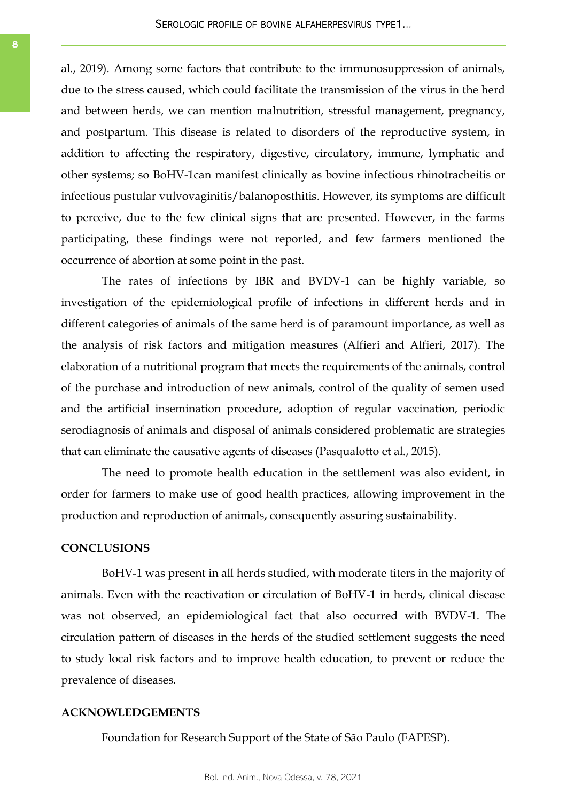al., 2019). Among some factors that contribute to the immunosuppression of animals, due to the stress caused, which could facilitate the transmission of the virus in the herd and between herds, we can mention malnutrition, stressful management, pregnancy, and postpartum. This disease is related to disorders of the reproductive system, in addition to affecting the respiratory, digestive, circulatory, immune, lymphatic and other systems; so BoHV-1can manifest clinically as bovine infectious rhinotracheitis or infectious pustular vulvovaginitis/balanoposthitis. However, its symptoms are difficult to perceive, due to the few clinical signs that are presented. However, in the farms participating, these findings were not reported, and few farmers mentioned the occurrence of abortion at some point in the past.

The rates of infections by IBR and BVDV-1 can be highly variable, so investigation of the epidemiological profile of infections in different herds and in different categories of animals of the same herd is of paramount importance, as well as the analysis of risk factors and mitigation measures (Alfieri and Alfieri, 2017). The elaboration of a nutritional program that meets the requirements of the animals, control of the purchase and introduction of new animals, control of the quality of semen used and the artificial insemination procedure, adoption of regular vaccination, periodic serodiagnosis of animals and disposal of animals considered problematic are strategies that can eliminate the causative agents of diseases (Pasqualotto et al., 2015).

The need to promote health education in the settlement was also evident, in order for farmers to make use of good health practices, allowing improvement in the production and reproduction of animals, consequently assuring sustainability.

## **CONCLUSIONS**

BoHV-1 was present in all herds studied, with moderate titers in the majority of animals. Even with the reactivation or circulation of BoHV-1 in herds, clinical disease was not observed, an epidemiological fact that also occurred with BVDV-1. The circulation pattern of diseases in the herds of the studied settlement suggests the need to study local risk factors and to improve health education, to prevent or reduce the prevalence of diseases.

## **ACKNOWLEDGEMENTS**

Foundation for Research Support of the State of São Paulo (FAPESP).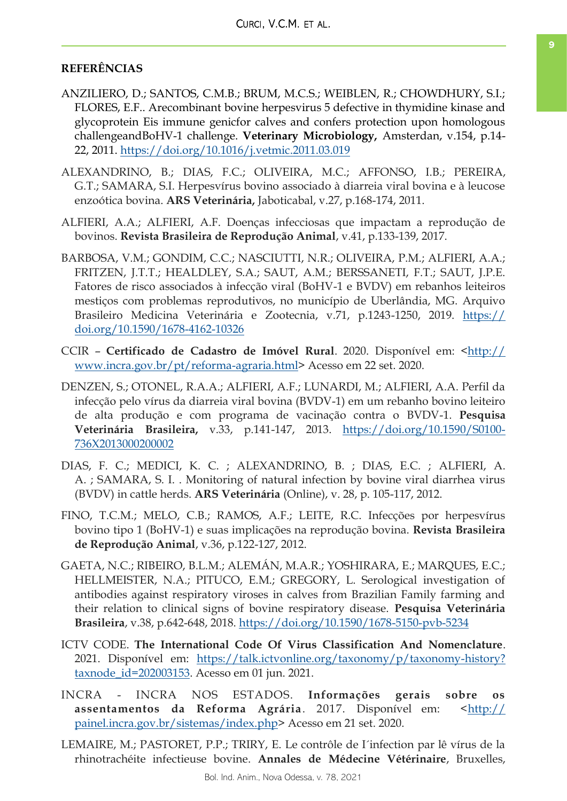## **REFERÊNCIAS**

- ANZILIERO, D.; SANTOS, C.M.B.; BRUM, M.C.S.; WEIBLEN, R.; CHOWDHURY, S.I.; FLORES, E.F.. Arecombinant bovine herpesvirus 5 defective in thymidine kinase and glycoprotein Eis immune genicfor calves and confers protection upon homologous challengeandBoHV-1 challenge. **Veterinary Microbiology,** Amsterdan, v.154, p.14- 22, 2011.<https://doi.org/10.1016/j.vetmic.2011.03.019>
- ALEXANDRINO, B.; DIAS, F.C.; OLIVEIRA, M.C.; AFFONSO, I.B.; PEREIRA, G.T.; SAMARA, S.I. Herpesvírus bovino associado à diarreia viral bovina e à leucose enzoótica bovina. **ARS Veterinária,** Jaboticabal, v.27, p.168-174, 2011.
- ALFIERI, A.A.; ALFIERI, A.F. Doenças infecciosas que impactam a reprodução de bovinos. **Revista Brasileira de Reprodução Animal**, v.41, p.133-139, 2017.
- BARBOSA, V.M.; GONDIM, C.C.; NASCIUTTI, N.R.; OLIVEIRA, P.M.; ALFIERI, A.A.; FRITZEN, J.T.T.; HEALDLEY, S.A.; SAUT, A.M.; BERSSANETI, F.T.; SAUT, J.P.E. Fatores de risco associados à infecção viral (BoHV-1 e BVDV) em rebanhos leiteiros mestiços com problemas reprodutivos, no município de Uberlândia, MG. Arquivo Brasileiro Medicina Veterinária e Zootecnia, v.71, p.1243-1250, 2019. [https://](https://doi.org/10.1590/1678-4162-10326) [doi.org/10.1590/1678-4162-10326](https://doi.org/10.1590/1678-4162-10326)
- CCIR **Certificado de Cadastro de Imóvel Rural**. 2020. Disponível em: [<http://](http://www.incra.gov.br/pt/reforma-agraria.html) [www.incra.gov.br/pt/reforma-agraria.html>](http://www.incra.gov.br/pt/reforma-agraria.html) Acesso em 22 set. 2020.
- DENZEN, S.; OTONEL, R.A.A.; ALFIERI, A.F.; LUNARDI, M.; ALFIERI, A.A. Perfil da infecção pelo vírus da diarreia viral bovina (BVDV-1) em um rebanho bovino leiteiro de alta produção e com programa de vacinação contra o BVDV-1. **Pesquisa Veterinária Brasileira,** v.33, p.141-147, 2013. [https://doi.org/10.1590/S0100-](https://doi.org/10.1590/S0100-736X2013000200002) [736X2013000200002](https://doi.org/10.1590/S0100-736X2013000200002)
- DIAS, F. C.; MEDICI, K. C. ; ALEXANDRINO, B. ; DIAS, E.C. ; ALFIERI, A. A. ; SAMARA, S. I. . Monitoring of natural infection by bovine viral diarrhea virus (BVDV) in cattle herds. **ARS Veterinária** (Online), v. 28, p. 105-117, 2012.
- FINO, T.C.M.; MELO, C.B.; RAMOS, A.F.; LEITE, R.C. Infecções por herpesvírus bovino tipo 1 (BoHV-1) e suas implicações na reprodução bovina. **Revista Brasileira de Reprodução Animal**, v.36, p.122-127, 2012.
- GAETA, N.C.; RIBEIRO, B.L.M.; ALEMÁN, M.A.R.; YOSHIRARA, E.; MARQUES, E.C.; HELLMEISTER, N.A.; PITUCO, E.M.; GREGORY, L. Serological investigation of antibodies against respiratory viroses in calves from Brazilian Family farming and their relation to clinical signs of bovine respiratory disease. **Pesquisa Veterinária Brasileira**, v.38, p.642-648, 2018.<https://doi.org/10.1590/1678-5150-pvb-5234>
- ICTV CODE. **The International Code Of Virus Classification And Nomenclature**. 2021. Disponível em: [https://talk.ictvonline.org/taxonomy/p/taxonomy-history?](https://talk.ictvonline.org/taxonomy/p/taxonomy-history?taxnode_id=202003153) [taxnode\\_id=202003153.](https://talk.ictvonline.org/taxonomy/p/taxonomy-history?taxnode_id=202003153) Acesso em 01 jun. 2021.
- INCRA INCRA NOS ESTADOS. **Informações gerais sobre os assentamentos da Reforma Agrária**. 2017. Disponível em: <[http://](http://painel.incra.gov.br/sistemas/index.php) [painel.incra.gov.br/sistemas/index.php>](http://painel.incra.gov.br/sistemas/index.php) Acesso em 21 set. 2020.
- LEMAIRE, M.; PASTORET, P.P.; TRIRY, E. Le contrôle de I´infection par lê vírus de la rhinotrachéite infectieuse bovine. **Annales de Médecine Vétérinaire**, Bruxelles,